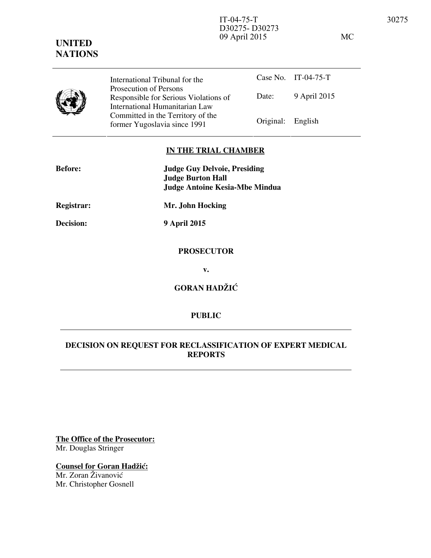IT-04-75-T 30275 D30275- D30273 09 April 2015 MC

Case No. IT-04-75-T Date: 9 April 2015 International Tribunal for the Prosecution of Persons Responsible for Serious Violations of International Humanitarian Law Committed in the Territory of the Former Yugoslavia since 1991 Original: English

## **IN THE TRIAL CHAMBER**

| <b>Before:</b>    | <b>Judge Guy Delvoie, Presiding</b><br><b>Judge Burton Hall</b><br><b>Judge Antoine Kesia-Mbe Mindua</b> |
|-------------------|----------------------------------------------------------------------------------------------------------|
| <b>Registrar:</b> | Mr. John Hocking                                                                                         |
| <b>Decision:</b>  | <b>9 April 2015</b>                                                                                      |
|                   | <b>PROSECUTOR</b>                                                                                        |
|                   | v.                                                                                                       |
|                   | <b>GORAN HADŽIĆ</b>                                                                                      |

## **PUBLIC**

## **DECISION ON REQUEST FOR RECLASSIFICATION OF EXPERT MEDICAL REPORTS**

**The Office of the Prosecutor:** Mr. Douglas Stringer

**Counsel for Goran Hadžić:** Mr. Zoran Živanović Mr. Christopher Gosnell

## **UNITED NATIONS**

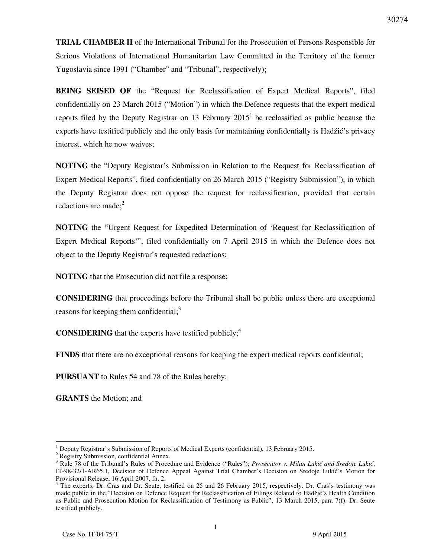**TRIAL CHAMBER II** of the International Tribunal for the Prosecution of Persons Responsible for Serious Violations of International Humanitarian Law Committed in the Territory of the former Yugoslavia since 1991 ("Chamber" and "Tribunal", respectively);

**BEING SEISED OF** the "Request for Reclassification of Expert Medical Reports", filed confidentially on 23 March 2015 ("Motion") in which the Defence requests that the expert medical reports filed by the Deputy Registrar on 13 February  $2015<sup>1</sup>$  be reclassified as public because the experts have testified publicly and the only basis for maintaining confidentially is Hadžić's privacy interest, which he now waives;

**NOTING** the "Deputy Registrar's Submission in Relation to the Request for Reclassification of Expert Medical Reports", filed confidentially on 26 March 2015 ("Registry Submission"), in which the Deputy Registrar does not oppose the request for reclassification, provided that certain redactions are made; $<sup>2</sup>$ </sup>

**NOTING** the "Urgent Request for Expedited Determination of 'Request for Reclassification of Expert Medical Reports'", filed confidentially on 7 April 2015 in which the Defence does not object to the Deputy Registrar's requested redactions;

**NOTING** that the Prosecution did not file a response;

**CONSIDERING** that proceedings before the Tribunal shall be public unless there are exceptional reasons for keeping them confidential; $3$ 

**CONSIDERING** that the experts have testified publicly;<sup>4</sup>

**FINDS** that there are no exceptional reasons for keeping the expert medical reports confidential;

**PURSUANT** to Rules 54 and 78 of the Rules hereby:

**GRANTS** the Motion; and

 $\overline{a}$ 

<sup>1</sup> Deputy Registrar's Submission of Reports of Medical Experts (confidential), 13 February 2015.

<sup>&</sup>lt;sup>2</sup> Registry Submission, confidential Annex.

<sup>&</sup>lt;sup>3</sup> Rule 78 of the Tribunal's Rules of Procedure and Evidence ("Rules"); *Prosecutor v. Milan Lukić and Sredoje Lukić*, IT-98-32/1-AR65.1, Decision of Defence Appeal Against Trial Chamber's Decision on Sredoje Lukić's Motion for Provisional Release, 16 April 2007, fn. 2.

<sup>&</sup>lt;sup>4</sup> The experts, Dr. Cras and Dr. Seute, testified on 25 and 26 February 2015, respectively. Dr. Cras's testimony was made public in the "Decision on Defence Request for Reclassification of Filings Related to Hadžić's Health Condition as Public and Prosecution Motion for Reclassification of Testimony as Public", 13 March 2015, para 7(f). Dr. Seute testified publicly.